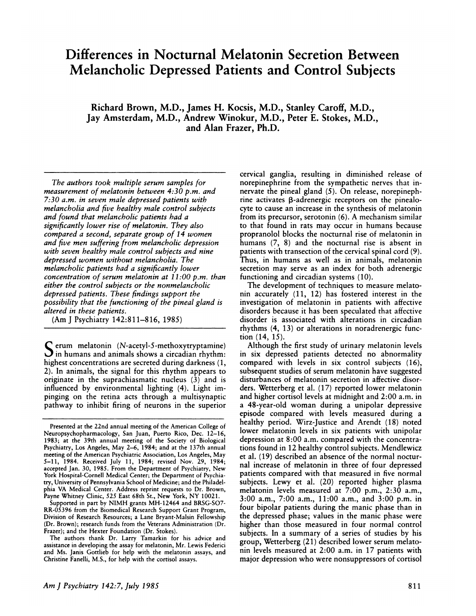# **Differences in Nocturnal Melatonin Secretion Between Melancholic Depressed Patients and Control Subjects**

**Richard Brown, M.D., James H. Kocsis, M.D., Stanley Caroff, M.D., Jay Amsterdam, M.D., Andrew Winokur, M.D., Peter E. Stokes, M.D., and Alan Frazer, Ph.D.**

*The authors took multiple serum samples for measurement of melatonin between 4:30 p.m. and 7:30 a.m. in seven male depressed patients with melancholia and five healthy male control subjects and found that melancholic patients had a significantly lower rise of melatonin. They also compared a second, separate group of 1 4 women and five men suffering from melancholic depression with seven healthy male control subjects and nine depressed women without melancholia. The melancholic patients had a significantly lower concentration of serum melatonin at I 1 :00 p.m. than either the control subjects or the nonmelancholic depressed patients. These findings support the possibility that the functioning of the pineal gland is altered in these patients.*

(Am **J** Psychiatry 142:811-816, 1985)

**S** erum melatonin (N-acetyl-S-methoxytryptamine)  $\mathbf{J}$  in humans and animals shows a circadian rhythm: highest concentrations are secreted during darkness (1, 2). In animals, the signal for this rhythm appears to originate in the suprachiasmatic nucleus (3) and is influenced by environmental lighting (4). Light impinging on the retina acts through a multisynaptic pathway to inhibit firing of neurons in the superior cervical ganglia, resulting in diminished release of norepinephrine from the sympathetic nerves that innervate the pineal gland *(5).* On release, norepinephrine activates  $\beta$ -adrenergic receptors on the pinealocyte to cause an increase in the synthesis of melatonin from its precursor, serotonin (6). A mechanism similar to that found in rats may occur in humans because propranolol blocks the nocturnal rise of melatonin in humans (7, 8) and the nocturnal rise is absent in patients with transection of the cervical spinal cord (9). Thus, in humans as well as in animals, melatonin secretion may serve as an index for both adrenergic functioning and circadian systems (10).

The development of techniques to measure melatonin accurately  $(11, 12)$  has fostered interest in the investigation of melatonin in patients with affective disorders because it has been speculated that affective disorder is associated with alterations in circadian rhythms (4, 13) or alterations in noradrenergic function (14, 15).

Although the first study of urinary melatonin levels in six depressed patients detected no abnormality compared with levels in six control subjects (16), subsequent studies of serum melatonin have suggested disturbances of melatonin secretion in affective disorders. Wetterberg et al. (17) reported lower melatonin and higher cortisol levels at midnight and 2:00 a.m. in a 48-year-old woman during a unipolar depressive episode compared with levels measured during a healthy period. Wirz-Justice and Arendt (18) noted lower melatonin levels in six patients with unipolar depression at 8:00 a.m. compared with the concentrations found in 12 healthy control subjects. Mendlewicz et al. (19) described an absence of the normal nocturnal increase of melatonin in three of four depressed patients compared with that measured in five normal subjects. Lewy et al. (20) reported higher plasma melatonin levels measured at 7:00 p.m., 2:30 a.m., 3:00 a.m., 7:00 a.m., 11:00 a.m., and 3:00 p.m. in four bipolar patients during the manic phase than in the depressed phase; values in the manic phase were higher than those measured in four normal control subjects. In a summary of a series of studies by his group, Wetterberg (21) described lower serum melatofin levels measured at 2:00 a.m. in 17 patients with major depression who were nonsuppressors of cortisol

**Presented at the 22nd annual meeting of the American College of** Neuropsychopharmacology, San Juan, Puerto Rico, Dec. 12-16, 1983; at the 39th annual meeting of the Society of Biological Psychiatry, Los Angeles, May 2-6, 1984; and at the 137th annual meeting of the American Psychiatric Association, Los Angeles, May 5-11, 1984. Received July 11, 1984; revised Nov. 29, 1984; **accepted Jan. 30, 1985. From the Department of Psychiatry, New** York Hospital-Cornell Medical Center; the Department of Psychiatry, University of Pennsylvania School of Medicine; and the Philadelphia VA Medical Center. Address reprint requests to Dr. Brown, Payne Whitney Clinic, *<sup>525</sup>* East 68th St., New York, NY 10021.

Supported in part by NIMH grants MH-12464 and BRSG-SO7- RR-05396 from the Biomedical Research Support Grant Program, Division of Research Resources; a Lane Bryant-Malsin Fellowship (Dr. Brown); research funds from the Veterans Administration (Dr. Frazer); and the Hexter Foundation (Dr. Stokes).

The authors thank Dr. Larry Tamarkin for his advice and assistance in developing the assay for melatonin, Mr. Lewis Federici **and Ms. Janis Gottlieb for help with the melatonin assays, and** Christine Fanelli, M.S., for help with the cortisol assays.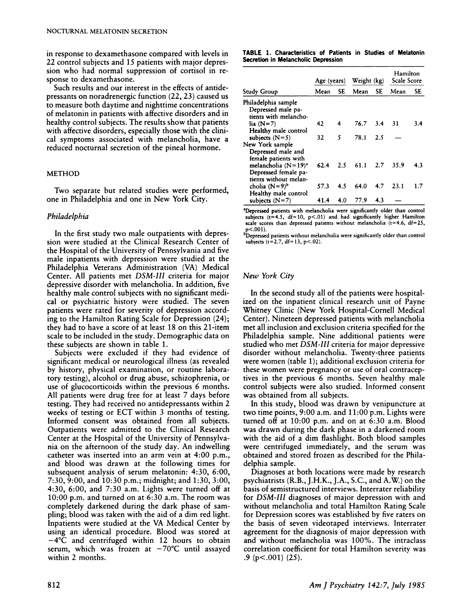in response to dexamethasone compared with levels in 22 control subjects and 15 patients with major depression who had normal suppression of cortisol in response to dexamethasone.

Such results and our interest in the effects of antidepressants on noradrenergic function (22, 23) caused us to measure both daytime and nighttime concentrations of melatonin in patients with affective disorders and in healthy control subjects. The results show that patients with affective disorders, especially those with the clinical symptoms associated with melancholia, have a reduced nocturnal secretion of the pineal hormone.

# **METHOD**

Two separate but related studies were performed, one in Philadelphia and one in New York City;

# *Philadelphia*

In the first study two male outpatients with depression were studied at the Clinical Research Center of the Hospital of the University of Pennsylvania and five male inpatients with depression were studied at the Philadelphia Veterans Administration (VA) Medical Center. All patients met *DSM-III* criteria for major depressive disorder with melancholia. In addition, five healthy male control subjects with no significant medical or psychiatric history were studied. The seven patients were rated for severity of depression according to the Hamilton Rating Scale for Depression (24); they had to have a score of at least 18 on this 21-item scale to be included in the study. Demographic data on these subjects are shown in table 1.

Subjects were excluded if they had evidence of significant medical or neurological illness (as revealed by history, physical examination, or routine laboratory testing), alcohol or drug abuse, schizophrenia, or use of glucocorticoids within the previous 6 months. All patients were drug free for at least 7 days before testing. They had received no antidepressants within 2 weeks of testing or ECT within 3 months of testing. Informed consent was obtained from all subjects. Outpatients were admitted to the Clinical Research Center at the Hospital of the University of Pennsylvania on the afternoon of the study day. An indwelling catheter was inserted into an arm vein at 4:00 p.m., and blood was drawn at the following times for subsequent analysis of serum melatonin: 4:30, 6:00, 7:30, 9:00, and 10:30 p.m.; midnight; and 1:30, 3:00, 4:30, 6:00, and 7:30 a.m. Lights were turned off at 10:00 p.m. and turned on at 6:30 a.m. The room was completely darkened during the dark phase of sampling; blood was taken with the aid of a dim red light. Inpatients were studied at the VA Medical Center by using an identical procedure. Blood was stored at  $-4^{\circ}\overline{C}$  and centrifuged within 12 hours to obtain serum, which was frozen at  $-70^{\circ}C$  until assayed within 2 months.

**TABLE 1. Characteristics of Patients in Studies of Melatonin** Secretion **in Melancholic Depression**

|                                                                    | Age (years) |     | Weight (kg) |           | Hamilton<br>Scale Score |     |
|--------------------------------------------------------------------|-------------|-----|-------------|-----------|-------------------------|-----|
| Study Group                                                        | Mean        | SE  | Mean        | <b>SE</b> | Mean                    | SE  |
| Philadelphia sample<br>Depressed male pa-<br>tients with melancho- |             |     |             |           |                         |     |
| lia $(N=7)$                                                        | 42          | 4   | 76.7        | 3.4       | 31                      | 3.4 |
| Healthy male control                                               |             |     |             |           |                         |     |
| subjects $(N=5)$                                                   | 32          | 5   | 78.1        | 2.5       |                         |     |
| New York sample                                                    |             |     |             |           |                         |     |
| Depressed male and<br>female patients with                         |             |     |             |           |                         |     |
| melancholia $(N=19)^a$                                             | 62.4        | 2.5 | 61.1        | 2.7       | 35.9                    | 4.3 |
| Depressed female pa-<br>tients without melan-                      |             |     |             |           |                         |     |
| cholia $(N=9)^b$                                                   | 57.3        | 4.5 | 64.0        | 4.7       | 23.1                    | 1.7 |
| Healthy male control                                               |             |     |             |           |                         |     |
| subjects $(N=7)$                                                   | 41.4        | 4.0 | 77.9        | 4.3       |                         |     |

<sup>a</sup>Depressed patients with melancholia were significantly older than control subjects ( $t=4.5$ ,  $df=10$ ,  $p<0.1$ ) and had significantly higher Hamilton scale scores than depressed patients without melancholia ( $t=4.6$ ,  $df=25$ , p<.OO1).

bDepressed patients without melancholia were significantly older than control subjects  $(t=2.7, df=13, p<.02)$ .

# *New York City*

In the second study all of the patients were hospitalized on the inpatient clinical research unit of Payne Whitney Clinic (New York Hospital-Cornell Medical Center). Nineteen depressed patients with melancholia met all inclusion and exclusion criteria specified for the Philadelphia sample. Nine additional patients were studied who met *DSM-III* criteria for major depressive disorder without melancholia. Twenty-three patients were women (table 1); additional exclusion criteria for these women were pregnancy or use of oral contraceptives in the previous 6 months. Seven healthy male control subjects were also studied. Informed consent was obtained from all subjects.

In this study, blood was drawn by venipuncture at two time points, 9:00 a.m. and 11:00 p.m. Lights were turned off at 10:00 p.m. and on at 6:30 a.m. Blood was drawn during the dark phase in a darkened room with the aid of a dim flashlight. Both blood samples were centrifuged immediately, and the serum was obtained and stored frozen as described for the Philadelphia sample.

Diagnoses at both locations were made by research psychiatrists (R.B., J.H.K., J.A., S.C., and A.W.) on the basis of semistructured interviews. Interrater reliability for *DSM-III* diagnoses of major depression with and without melancholia and total Hamilton Rating Scale for Depression scores was established by five raters on the basis of seven videotaped interviews. Interrater agreement for the diagnosis of major depression with and without melancholia was 100%. The intraclass correlation coefficient for total Hamilton severity was .9 ( $p<.001$ ) (25).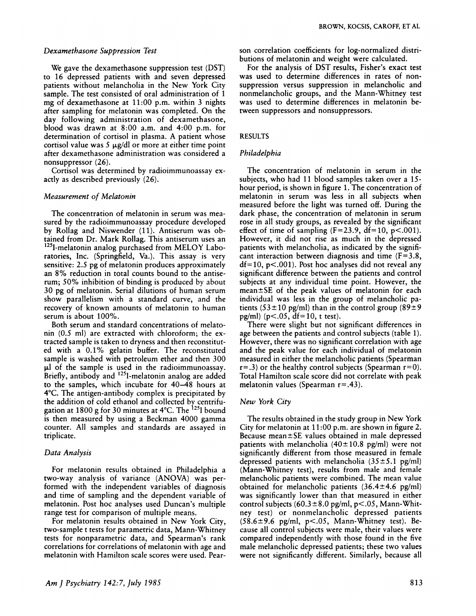#### *Dexamethasone Suppression Test*

We gave the dexamethasone suppression test (DST) to 16 depressed patients with and seven depressed patients without melancholia in the New York City sample. The test consisted of oral administration of 1 mg of dexamethasone at 11:00 p.m. within 3 nights after sampling for melatonin was completed. On the day following administration of dexamethasone, blood was drawn at 8:00 a.m. and 4:00 p.m. for determination of cortisol in plasma. A patient whose cortisol value was  $5 \mu g/d$ l or more at either time point after dexamethasone administration was considered a nonsuppressor (26).

Cortisol was determined *by* radioimmunoassay exactly as described previously (26).

# *Measurement of Melatonin*

The concentration of melatonin in serum was measured by the radioimmunoassay procedure developed by Rollag and Niswender (11). Antiserum was obtained from Dr. Mark Rollag. This antiserum uses an <sup>125</sup>I-melatonin analog purchased from MELOY Laboratories, Inc. (Springfield, Va.). This assay is very sensitive: 2.5 pg of melatonin produces approximately an 8% reduction in total counts bound to the antiserum; 50% inhibition of binding is produced by about 30 pg of melatonin. Serial dilutions of human serum show parallelism with a standard curve, and the recovery of known amounts of melatonin to human serum is about 100%.

Both serum and standard concentrations of melatonin  $(0.5 \text{ ml})$  are extracted with chloroform; the extracted sample is taken to dryness and then reconstituted with a 0.1% gelatin buffer. The reconstituted sample is washed with petroleum ether and then 300  $\mu$ I of the sample is used in the radioimmun Briefly, antibody and <sup>125</sup>I-melatonin analog are add to the samples, which incubate for 40-48 hours at 4°C. The antigen-antibody complex is precipitated by the addition of cold ethanol and collected by centrifugation at 1800 g for 30 minutes at  $4^{\circ}$ C. The <sup>125</sup>I bound is then measured by using a Beckman 4000 gamma counter. All samples and standards are assayed in triplicate.

#### *Data Analysis*

For melatonin results obtained in Philadelphia a two-way analysis of variance (ANOVA) was performed with the independent variables of diagnosis and time of sampling and the dependent variable of melatonin. Post hoc analyses used Duncan's multiple range test for comparison of multiple means.

For melatonin results obtained in New York City, two-sample t tests for parametric data, Mann-Whitney tests for nonparametric data, and Spearman's rank correlations for correlations of melatonin with age and melatonin with Hamilton scale scores were used. Pearson correlation coefficients for log-normalized distributions of melatonin and weight were calculated.

For the analysis of DST results, Fisher's exact test was used to determine differences in rates of nonsuppression versus suppression in melancholic and nonmelancholic groups, and the Mann-Whitney test was used to determine differences in melatonin between suppressors and nonsuppressors.

# **RESULTS**

#### *Philadelphia*

The concentration of melatonin in serum in the subjects, who had 11 blood samples taken over a 15 hour period, is shown in figure 1 *.* The concentration of melatonin in serum was less in all subjects when measured before the light was turned off. During the dark phase, the concentration of melatonin in serum rose in all study groups, as revealed by the significant effect of time of sampling  $(F=23.9, df=10, p<.001)$ . However, it did not rise as much in the depressed patients with melancholia, as indicated by the significant interaction between diagnosis and time  $(F=3.8,$  $df=10$ , p<.001). Post hoc analyses did not reveal any significant difference between the patients and control subjects at any individual time point. However, the mean±SE of the peak values of melatonin for each individual was less in the group of melancholic patients (53±10 pg/ml) than in the control group (89±9 pg/ml) ( $p < .05$ ,  $df = 10$ , t test).

There were slight but not significant differences in age between the patients and control subjects (table 1). However, there was no significant correlation with age and the peak value for each individual of melatonin measured in either the melancholic patients (Spearman  $r=0$ ) or the healthy control subjects (Spearman  $r=0$ ). Total Hamilton scale score did not correlate with peak melatonin values (Spearman  $r = .43$ ).

# *New York City*

The results obtained in the study group in New York City for melatonin at 1 1 :00 p.m. are shown in figure 2. Because mean±SE values obtained in male depressed patients with melancholia  $(40 \pm 10.8 \text{ pg/ml})$  were not significantly different from those measured in female depressed patients with melancholia  $(35\pm5.1 \text{ pg/ml})$ (Mann-Whitney test), results from male and female melancholic patients were combined. The mean value obtained for melancholic patients  $(36.4 \pm 4.6 \text{ pg/ml})$ was significantly lower than that measured in either control subjects (60.3  $\pm$ 8.0 pg/ml, p<.05, Mann-Whitney test) or nonmelancholic depressed patients  $(58.6 \pm 9.6 \text{ pg/ml}, \text{p} < .05, \text{ Mann-Whitney test}).$  Because all control subjects were male, their values were compared independently with those found in the five male melancholic depressed patients; these two values were not significantly different. Similarly, because all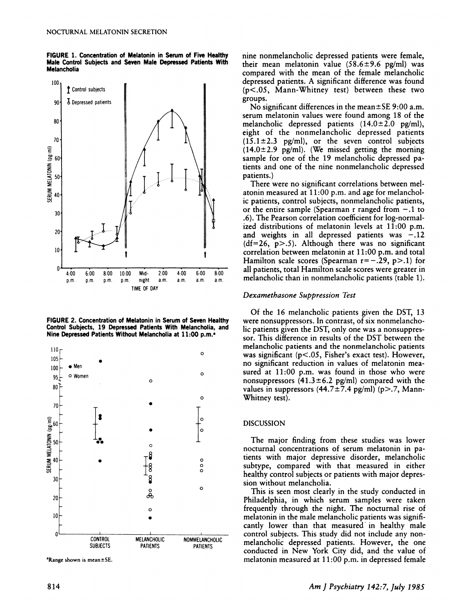**FIGURE 1. Concentration of Melatonin** in Serum **of Five Healthy Male Control Subjects and Seven Male Depressed Patients With Melancholia**



**FIGURE 2. Concentration of Melatonin in Serum of Seven Healthy** Control Subjects, 19 Depressed Patients With Melancholia, and **Nine Depressed Patients Without Melancholia at 1 1:00 p.m.**



 $A$ Range shown is mean  $\pm$  SE.

nine nonmelancholic depressed patients were female, their mean melatonin value  $(58.6 \pm 9.6 \text{ pg/ml})$  was compared with the mean of the female melancholic depressed patients. A significant difference was found  $(p<.05$ , Mann-Whitney test) between these two groups.

No significant differences in the mean $\pm$ SE 9:00 a.m. serum melatonin values were found among 18 of the melancholic depressed patients  $(14.0 \pm 2.0 \text{ pg/ml})$ , eight of the nonmelancholic depressed patients  $(15.1 \pm 2.3 \text{ pg/ml})$ , or the seven control subjects  $(14.0 \pm 2.9 \text{ pg/ml})$ . (We missed getting the morning sample for one of the 19 melancholic depressed patients and one of the nine nonmelancholic depressed patients.)

There were no significant correlations between melatonin measured at 11:00 p.m. and age for melancholic patients, control subjects, nonmelancholic patients, or the entire sample (Spearman r ranged from - *.* 1 to .6). The Pearson correlation coefficient for log-normalized distributions of melatonin levels at 11:00 p.m. and weights in all depressed patients was  $-.12$  $(df=26, p>0.5)$ . Although there was no significant correlation between melatonin at 11:00 p.m. and total Hamilton scale scores (Spearman  $r = -.29$ , p>.1) for all patients, total Hamilton scale scores were greater in melancholic than in nonmelancholic patients (table 1).

#### *Dexamethasone Suppression Test*

Of the 16 melancholic patients given the DST, 13 were nonsuppressors. In contrast, of six nonmelancholic patients given the DST, only one was a nonsuppressor. This difference in results of the DST between the melancholic patients and the nonmelancholic patients was significant  $(p<.05$ , Fisher's exact test). However, no significant reduction in values of melatonin measured at 11:00 p.m. was found in those who were nonsuppressors  $(41.3 \pm 6.2 \text{ pg/ml})$  compared with the values in suppressors  $(44.7\pm7.4$  pg/ml) (p>.7, Mann-Whitney test).

#### DISCUSSION

The major finding from these studies was lower nocturnal concentrations of serum melatonin in patients with major depressive disorder, melancholic subtype, compared with that measured in either healthy control subjects or patients with major depression without melancholia.

This is seen most clearly in the study conducted in Philadelphia, in which serum samples were taken frequently through the night. The nocturnal rise of melatonin in the male melancholic patients was significantly lower than that measured in healthy male control subjects. This study did not include any nonmelancholic depressed patients. However, the one conducted in New York City did, and the value of melatonin measured at 11:00 p.m. in depressed female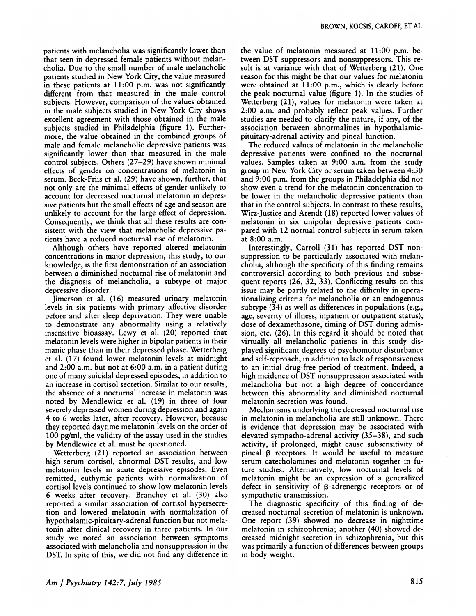patients with melancholia was significantly lower than that seen in depressed female patients without melancholia. Due to the small number of male melancholic patients studied in New York City, the value measured in these patients at 11:00 p.m. was not significantly different from that measured in the male control subjects. However, comparison of the values obtained in the male subjects studied in New York City shows excellent agreement with those obtained in the male subjects studied in Philadelphia (figure 1). Furthermore, the value obtained in the combined groups of male and female melancholic depressive patients was significantly lower than that measured in the male control subjects. Others (27-29) have shown minimal effects of gender on concentrations of melatonin in serum. Beck-Friis et al. (29) have shown, further, that not only are the minimal effects of gender unlikely to account for decreased nocturnal melatonin in depressive patients but the small effects of age and season are unlikely to account for the large effect of depression. Consequently, we think that all these results are consistent with the view that melancholic depressive patients have a reduced nocturnal rise of melatonin.

Although others have reported altered melatonin concentrations in major depression, this study, to our knowledge, is the first demonstration of an association between a diminished nocturnal rise of melatonin and the diagnosis of melancholia, a subtype of major depressive disorder.

Jimerson et al. (16) measured urinary melatonin levels in six patients with primary affective disorder before and after sleep deprivation. They were unable to demonstrate any abnormality using a relatively insensitive bioassay. Lewy et al. (20) reported that melatonin levels were higher in bipolar patients in their manic phase than in their depressed phase. Wetterberg et al. (17) found lower melatonin levels at midnight and 2:00 a.m. but not at 6:00 a.m. in a patient during one of many suicidal depressed episodes, in addition to an increase in cortisol secretion. Similar to our results, the absence of a nocturnal increase in melatonin was noted by Mendlewicz et al. (19) in three of four severely depressed women during depression and again 4 to 6 weeks later, after recovery. However, because they reported daytime melatonin levels on the order of 100 pg/ml, the validity of the assay used in the studies by Mendlewicz et al. must be questioned.

Wetterberg (21) reported an association between high serum cortisol, abnormal DST results, and low melatonin levels in acute depressive episodes. Even remitted, euthymic patients with normalization of cortisol levels continued to show low melatonin levels 6 weeks after recovery. Branchey et al. (30) also reported a similar association of cortisol hypersecretion and lowered melatonin with normalization of hypothalamic-pituitary-adrenal function but not melatonin after clinical recovery in three patients. In our study we noted an association between symptoms associated with melancholia and nonsuppression in the DST. In spite of this, we did not find any difference in the value of melatonin measured at 11:00 p.m. between DST suppressors and nonsuppressors. This result is at variance with that of Wetterberg (21). One reason for this might be that our values for melatonin were obtained at 11:00 p.m., which is clearly before the peak nocturnal value (figure 1). In the studies of Wetterberg (21), values for melatonin were taken at 2:00 a.m. and probably reflect peak values. Further studies are needed to clarify the nature, if any, of the association between abnormalities in hypothalamicpituitary-adrenal activity and pineal function.

The reduced values of melatonin in the melancholic depressive patients were confined to the nocturnal values. Samples taken at 9:00 a.m. from the study group in New York City or serum taken between 4:30 and 9:00 p.m. from the groups in Philadelphia did not show even a trend for the melatonin concentration to be lower in the melancholic depressive patients than that in the control subjects. In contrast to these results, Wirz-Justice and Arendt (18) reported lower values of melatonin in six unipolar depressive patients compared with 12 normal control subjects in serum taken at 8:00 a.m.

Interestingly, Carroll (31) has reported DST nonsuppression to be particularly associated with melancholia, although the specificity of this finding remains controversial according to both previous and subsequent reports (26, 32, 33). Conflicting results on this issue may be partly related to the difficulty in operationalizing criteria for melancholia or an endogenous subtype  $(34)$  as well as differences in populations (e.g., age, severity of illness, inpatient or outpatient status), dose of dexamethasone, timing of DST during admission, etc. (26). In this regard it should be noted that virtually all melancholic patients in this study displayed significant degrees of psychomotor disturbance and self-reproach, in addition to lack of responsiveness to an initial drug-free period of treatment. Indeed, a high incidence of DST nonsuppression associated with melancholia but not a high degree of concordance between this abnormality and diminished nocturnal melatonin secretion was found.

Mechanisms underlying the decreased nocturnal rise in melatonin in melancholia are still unknown. There is evidence that depression may be associated with elevated sympatho-adrenal activity (35-38), and such activity, if prolonged, might cause subsensitivity of pineal  $\beta$  receptors. It would be useful to measure serum catecholamines and melatonin together in future studies. Alternatively, low nocturnal levels of melatonin might be an expression of a generalized defect in sensitivity of  $\beta$ -adrenergic receptors or of sympathetic transmission.

The diagnostic specificity of this finding of decreased nocturnal secretion of melatonin is unknown. One report (39) showed no decrease in nighttime melatonin in schizophrenia; another (40) showed decreased midnight secretion in schizophrenia, but this was primarily a function of differences between groups in body weight.